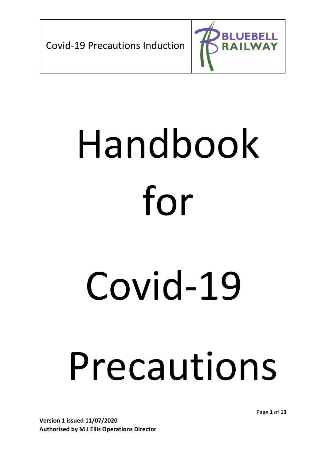

# Handbook for

# Covid-19

# Precautions

**Version 1 issued 11/07/2020 Authorised by M J Ellis Operations Director** Page **1** of **13**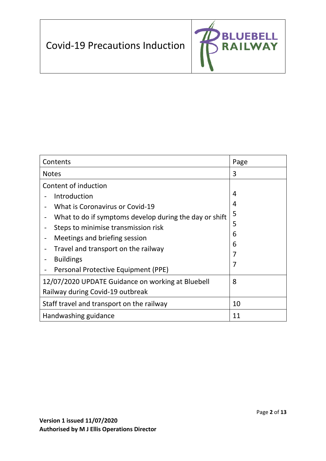

| Contents                                               | Page |
|--------------------------------------------------------|------|
| <b>Notes</b>                                           | 3    |
| Content of induction                                   |      |
| Introduction                                           | 4    |
| <b>What is Coronavirus or Covid-19</b>                 | 4    |
| What to do if symptoms develop during the day or shift | 5    |
| Steps to minimise transmission risk                    | 5    |
| Meetings and briefing session                          | 6    |
| Travel and transport on the railway                    | 6    |
| <b>Buildings</b>                                       | 7    |
| Personal Protective Equipment (PPE)                    | 7    |
| 12/07/2020 UPDATE Guidance on working at Bluebell      | 8    |
| Railway during Covid-19 outbreak                       |      |
| Staff travel and transport on the railway              | 10   |
| Handwashing guidance                                   | 11   |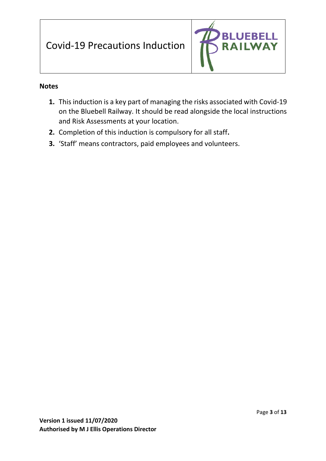

#### **Notes**

- **1.** This induction is a key part of managing the risks associated with Covid-19 on the Bluebell Railway. It should be read alongside the local instructions and Risk Assessments at your location.
- **2.** Completion of this induction is compulsory for all staff**.**
- **3.** 'Staff' means contractors, paid employees and volunteers.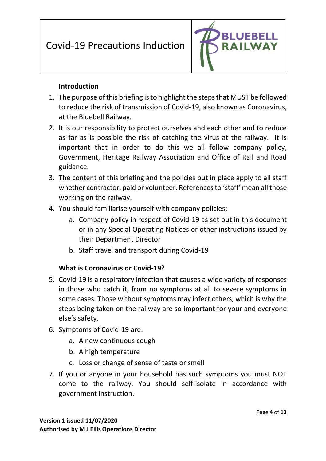

#### **Introduction**

- 1. The purpose of this briefing is to highlight the steps that MUST be followed to reduce the risk of transmission of Covid-19, also known as Coronavirus, at the Bluebell Railway.
- 2. It is our responsibility to protect ourselves and each other and to reduce as far as is possible the risk of catching the virus at the railway. It is important that in order to do this we all follow company policy, Government, Heritage Railway Association and Office of Rail and Road guidance.
- 3. The content of this briefing and the policies put in place apply to all staff whether contractor, paid or volunteer. References to 'staff' mean all those working on the railway.
- 4. You should familiarise yourself with company policies;
	- a. Company policy in respect of Covid-19 as set out in this document or in any Special Operating Notices or other instructions issued by their Department Director
	- b. Staff travel and transport during Covid-19

#### **What is Coronavirus or Covid-19?**

- 5. Covid-19 is a respiratory infection that causes a wide variety of responses in those who catch it, from no symptoms at all to severe symptoms in some cases. Those without symptoms may infect others, which is why the steps being taken on the railway are so important for your and everyone else's safety.
- 6. Symptoms of Covid-19 are:
	- a. A new continuous cough
	- b. A high temperature
	- c. Loss or change of sense of taste or smell
- 7. If you or anyone in your household has such symptoms you must NOT come to the railway. You should self-isolate in accordance with government instruction.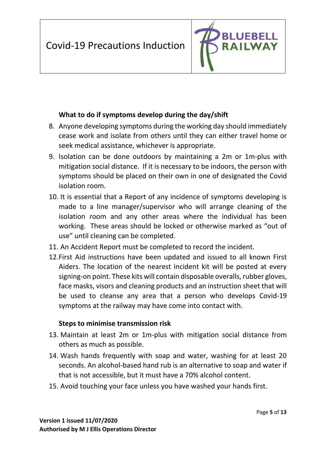

#### **What to do if symptoms develop during the day/shift**

- 8. Anyone developing symptoms during the working day should immediately cease work and isolate from others until they can either travel home or seek medical assistance, whichever is appropriate.
- 9. Isolation can be done outdoors by maintaining a 2m or 1m-plus with mitigation social distance. If it is necessary to be indoors, the person with symptoms should be placed on their own in one of designated the Covid isolation room.
- 10. It is essential that a Report of any incidence of symptoms developing is made to a line manager/supervisor who will arrange cleaning of the isolation room and any other areas where the individual has been working. These areas should be locked or otherwise marked as "out of use" until cleaning can be completed.
- 11. An Accident Report must be completed to record the incident.
- 12.First Aid instructions have been updated and issued to all known First Aiders. The location of the nearest incident kit will be posted at every signing-on point. These kits will contain disposable overalls, rubber gloves, face masks, visors and cleaning products and an instruction sheet that will be used to cleanse any area that a person who develops Covid-19 symptoms at the railway may have come into contact with.

#### **Steps to minimise transmission risk**

- 13. Maintain at least 2m or 1m-plus with mitigation social distance from others as much as possible.
- 14. Wash hands frequently with soap and water, washing for at least 20 seconds. An alcohol-based hand rub is an alternative to soap and water if that is not accessible, but it must have a 70% alcohol content.
- 15. Avoid touching your face unless you have washed your hands first.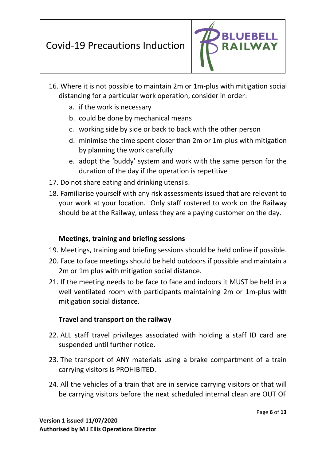

- 16. Where it is not possible to maintain 2m or 1m-plus with mitigation social distancing for a particular work operation, consider in order:
	- a. if the work is necessary
	- b. could be done by mechanical means
	- c. working side by side or back to back with the other person
	- d. minimise the time spent closer than 2m or 1m-plus with mitigation by planning the work carefully
	- e. adopt the 'buddy' system and work with the same person for the duration of the day if the operation is repetitive
- 17. Do not share eating and drinking utensils.
- 18. Familiarise yourself with any risk assessments issued that are relevant to your work at your location. Only staff rostered to work on the Railway should be at the Railway, unless they are a paying customer on the day.

#### **Meetings, training and briefing sessions**

- 19. Meetings, training and briefing sessions should be held online if possible.
- 20. Face to face meetings should be held outdoors if possible and maintain a 2m or 1m plus with mitigation social distance.
- 21. If the meeting needs to be face to face and indoors it MUST be held in a well ventilated room with participants maintaining 2m or 1m-plus with mitigation social distance.

#### **Travel and transport on the railway**

- 22. ALL staff travel privileges associated with holding a staff ID card are suspended until further notice.
- 23. The transport of ANY materials using a brake compartment of a train carrying visitors is PROHIBITED.
- 24. All the vehicles of a train that are in service carrying visitors or that will be carrying visitors before the next scheduled internal clean are OUT OF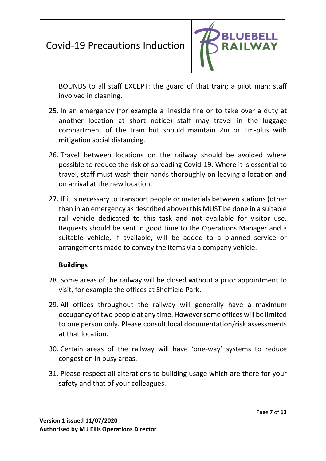

BOUNDS to all staff EXCEPT: the guard of that train; a pilot man; staff involved in cleaning.

- 25. In an emergency (for example a lineside fire or to take over a duty at another location at short notice) staff may travel in the luggage compartment of the train but should maintain 2m or 1m-plus with mitigation social distancing.
- 26. Travel between locations on the railway should be avoided where possible to reduce the risk of spreading Covid-19. Where it is essential to travel, staff must wash their hands thoroughly on leaving a location and on arrival at the new location.
- 27. If it is necessary to transport people or materials between stations (other than in an emergency as described above) this MUST be done in a suitable rail vehicle dedicated to this task and not available for visitor use. Requests should be sent in good time to the Operations Manager and a suitable vehicle, if available, will be added to a planned service or arrangements made to convey the items via a company vehicle.

#### **Buildings**

- 28. Some areas of the railway will be closed without a prior appointment to visit, for example the offices at Sheffield Park.
- 29. All offices throughout the railway will generally have a maximum occupancy of two people at any time. However some offices will be limited to one person only. Please consult local documentation/risk assessments at that location.
- 30. Certain areas of the railway will have 'one-way' systems to reduce congestion in busy areas.
- 31. Please respect all alterations to building usage which are there for your safety and that of your colleagues.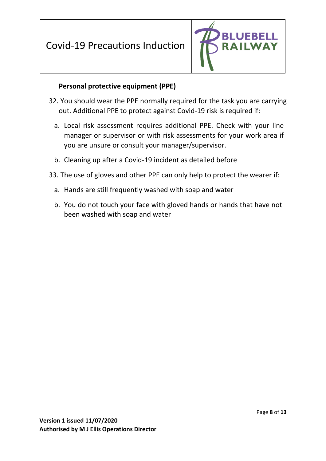

#### **Personal protective equipment (PPE)**

- 32. You should wear the PPE normally required for the task you are carrying out. Additional PPE to protect against Covid-19 risk is required if:
	- a. Local risk assessment requires additional PPE. Check with your line manager or supervisor or with risk assessments for your work area if you are unsure or consult your manager/supervisor.
	- b. Cleaning up after a Covid-19 incident as detailed before
- 33. The use of gloves and other PPE can only help to protect the wearer if:
	- a. Hands are still frequently washed with soap and water
	- b. You do not touch your face with gloved hands or hands that have not been washed with soap and water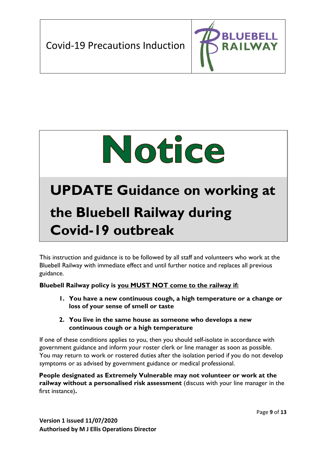



# **UPDATE Guidance on working at**

# **the Bluebell Railway during Covid-19 outbreak**

This instruction and guidance is to be followed by all staff and volunteers who work at the Bluebell Railway with immediate effect and until further notice and replaces all previous guidance.

#### **Bluebell Railway policy is you MUST NOT come to the railway if:**

**1. You have a new continuous cough, a high temperature or a change or loss of your sense of smell or taste** 

#### **2. You live in the same house as someone who develops a new continuous cough or a high temperature**

If one of these conditions applies to you, then you should self-isolate in accordance with government guidance and inform your roster clerk or line manager as soon as possible. You may return to work or rostered duties after the isolation period if you do not develop symptoms or as advised by government guidance or medical professional.

**People designated as Extremely Vulnerable may not volunteer or work at the railway without a personalised risk assessment** (discuss with your line manager in the first instance)**.**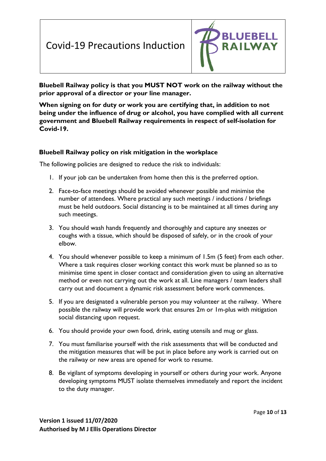

**Bluebell Railway policy is that you MUST NOT work on the railway without the prior approval of a director or your line manager.** 

**When signing on for duty or work you are certifying that, in addition to not being under the influence of drug or alcohol, you have complied with all current government and Bluebell Railway requirements in respect of self-isolation for Covid-19.** 

#### **Bluebell Railway policy on risk mitigation in the workplace**

The following policies are designed to reduce the risk to individuals:

- 1. If your job can be undertaken from home then this is the preferred option.
- 2. Face-to-face meetings should be avoided whenever possible and minimise the number of attendees. Where practical any such meetings / inductions / briefings must be held outdoors. Social distancing is to be maintained at all times during any such meetings.
- 3. You should wash hands frequently and thoroughly and capture any sneezes or coughs with a tissue, which should be disposed of safely, or in the crook of your elbow.
- 4. You should whenever possible to keep a minimum of 1.5m (5 feet) from each other. Where a task requires closer working contact this work must be planned so as to minimise time spent in closer contact and consideration given to using an alternative method or even not carrying out the work at all. Line managers / team leaders shall carry out and document a dynamic risk assessment before work commences.
- 5. If you are designated a vulnerable person you may volunteer at the railway. Where possible the railway will provide work that ensures 2m or 1m-plus with mitigation social distancing upon request.
- 6. You should provide your own food, drink, eating utensils and mug or glass.
- 7. You must familiarise yourself with the risk assessments that will be conducted and the mitigation measures that will be put in place before any work is carried out on the railway or new areas are opened for work to resume.
- 8. Be vigilant of symptoms developing in yourself or others during your work. Anyone developing symptoms MUST isolate themselves immediately and report the incident to the duty manager.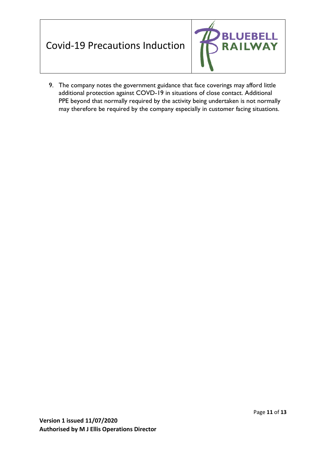#### **BLUEBEL** .L Covid-19 Precautions Induction **WAY RAIL**

9. The company notes the government guidance that face coverings may afford little additional protection against COVD-19 in situations of close contact. Additional PPE beyond that normally required by the activity being undertaken is not normally may therefore be required by the company especially in customer facing situations.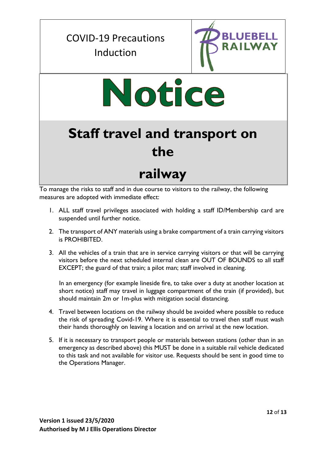### COVID-19 Precautions Induction



# Notice

# **Staff travel and transport on the**

### **railway**

To manage the risks to staff and in due course to visitors to the railway, the following measures are adopted with immediate effect:

- 1. ALL staff travel privileges associated with holding a staff ID/Membership card are suspended until further notice.
- 2. The transport of ANY materials using a brake compartment of a train carrying visitors is PROHIBITED.
- 3. All the vehicles of a train that are in service carrying visitors or that will be carrying visitors before the next scheduled internal clean are OUT OF BOUNDS to all staff EXCEPT; the guard of that train; a pilot man; staff involved in cleaning.

In an emergency (for example lineside fire, to take over a duty at another location at short notice) staff may travel in luggage compartment of the train (if provided), but should maintain 2m or 1m-plus with mitigation social distancing.

- 4. Travel between locations on the railway should be avoided where possible to reduce the risk of spreading Covid-19. Where it is essential to travel then staff must wash their hands thoroughly on leaving a location and on arrival at the new location.
- 5. If it is necessary to transport people or materials between stations (other than in an emergency as described above) this MUST be done in a suitable rail vehicle dedicated to this task and not available for visitor use. Requests should be sent in good time to the Operations Manager.